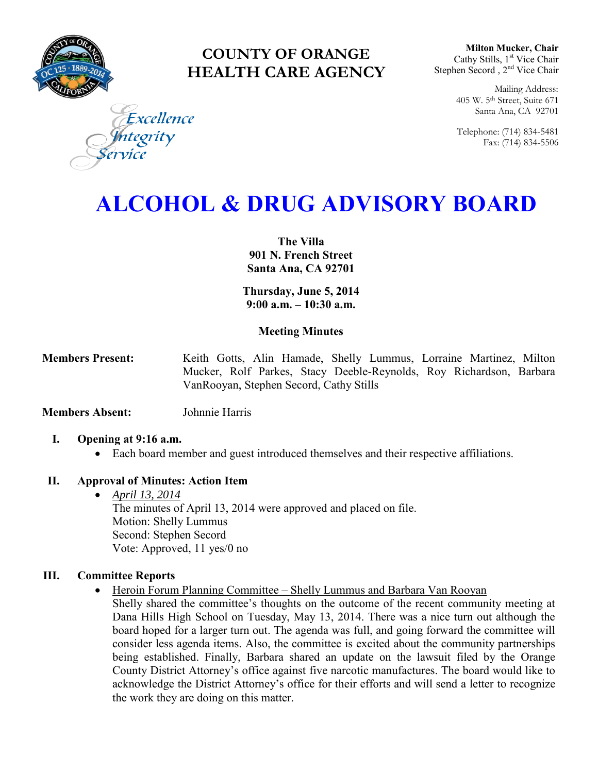

# **COUNTY OF ORANGE HEALTH CARE AGENCY**

**Milton Mucker, Chair** Cathy Stills, 1<sup>st</sup> Vice Chair Stephen Secord, 2<sup>nd</sup> Vice Chair

> Mailing Address: 405 W. 5th Street, Suite 671 Santa Ana, CA 92701

> Telephone: (714) 834-5481 Fax: (714) 834-5506

Excellence tegrity

# **ALCOHOL & DRUG ADVISORY BOARD**

**The Villa 901 N. French Street Santa Ana, CA 92701**

**Thursday, June 5, 2014 9:00 a.m. – 10:30 a.m.** 

# **Meeting Minutes**

**Members Present:** Keith Gotts, Alin Hamade, Shelly Lummus, Lorraine Martinez, Milton Mucker, Rolf Parkes, Stacy Deeble-Reynolds, Roy Richardson, Barbara VanRooyan, Stephen Secord, Cathy Stills

**Members Absent:** Johnnie Harris

#### **I. Opening at 9:16 a.m.**

Each board member and guest introduced themselves and their respective affiliations.

#### **II. Approval of Minutes: Action Item**

 *April 13, 2014* The minutes of April 13, 2014 were approved and placed on file. Motion: Shelly Lummus Second: Stephen Secord Vote: Approved, 11 yes/0 no

#### **III. Committee Reports**

- Heroin Forum Planning Committee Shelly Lummus and Barbara Van Rooyan
	- Shelly shared the committee's thoughts on the outcome of the recent community meeting at Dana Hills High School on Tuesday, May 13, 2014. There was a nice turn out although the board hoped for a larger turn out. The agenda was full, and going forward the committee will consider less agenda items. Also, the committee is excited about the community partnerships being established. Finally, Barbara shared an update on the lawsuit filed by the Orange County District Attorney's office against five narcotic manufactures. The board would like to acknowledge the District Attorney's office for their efforts and will send a letter to recognize the work they are doing on this matter.